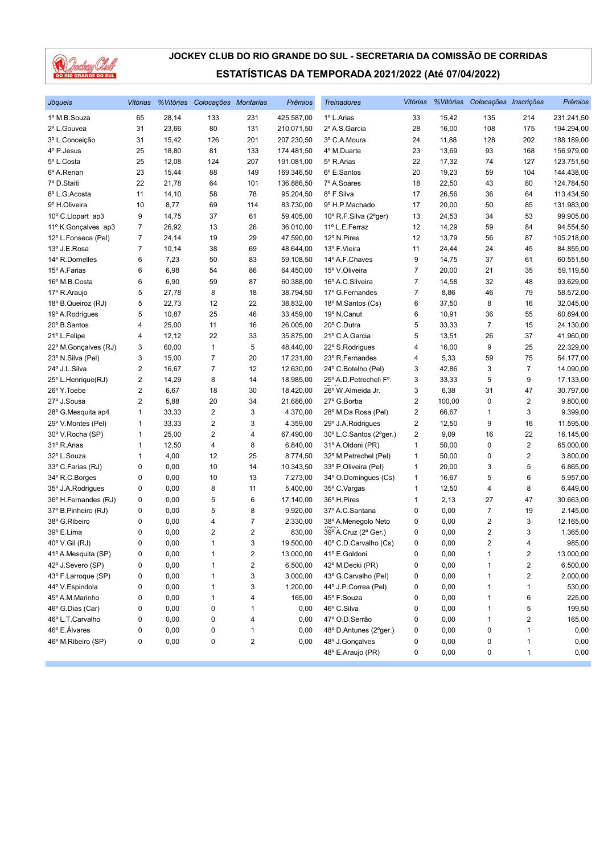

| Jóqueis              | Vitórias                |              | % Vitórias Colocações Montarias |        | <b>Prêmios</b> | <b>Treinadores</b>                   |                |              | Vitórias % Vitórias Colocações Inscrições |                         | Prêmios      |
|----------------------|-------------------------|--------------|---------------------------------|--------|----------------|--------------------------------------|----------------|--------------|-------------------------------------------|-------------------------|--------------|
| 1º M.B.Souza         | 65                      | 28,14        | 133                             | 231    | 425.587,00     | 1º L.Arias                           | 33             | 15,42        | 135                                       | 214                     | 231.241,50   |
| 2º L.Gouvea          | 31                      | 23,66        | 80                              | 131    | 210.071,50     | 2º A.S. Garcia                       | 28             | 16,00        | 108                                       | 175                     | 194.294,00   |
| 3º L.Conceição       | 31                      | 15,42        | 126                             | 201    | 207.230,50     | 3º C.A.Moura                         | 24             | 11,88        | 128                                       | 202                     | 188.189,00   |
| 4º P.Jesus           | 25                      | 18,80        | 81                              | 133    | 174.481,50     | 4º M.Duarte                          | 23             | 13,69        | 93                                        | 168                     | 156.979,00   |
| 5º L.Costa           | 25                      | 12,08        | 124                             | 207    | 191.081,00     | 5º R.Arias                           | 22             | 17,32        | 74                                        | 127                     | 123.751,50   |
| 6º A.Renan           | 23                      | 15,44        | 88                              | 149    | 169.346,50     | 6º E.Santos                          | 20             | 19,23        | 59                                        | 104                     | 144.438,00   |
| 7º D.Staiti          | 22                      | 21,78        | 64                              | 101    | 136.886,50     | 7º A.Soares                          | 18             | 22,50        | 43                                        | 80                      | 124.784,50   |
| 8º L.G. Acosta       | 11                      | 14,10        | 58                              | 78     | 95.204,50      | 8º F.Silva                           | 17             | 26,56        | 36                                        | 64                      | 113.434,50   |
| 9º H.Oliveira        | 10                      | 8,77         | 69                              | 114    | 83.730,00      | 9º H.P.Machado                       | 17             | 20,00        | 50                                        | 85                      | 131.983,00   |
| 10° C.Llopart ap3    | 9                       | 14,75        | 37                              | 61     | 59.405,00      | 10° R.F.Silva (2°ger)                | 13             | 24,53        | 34                                        | 53                      | 99.905,00    |
| 11º K.Gonçalves ap3  | 7                       | 26,92        | 13                              | 26     | 36.010,00      | 11º L.E.Ferraz                       | 12             | 14,29        | 59                                        | 84                      | 94.554,50    |
| 12º L.Fonseca (Pel)  | 7                       | 24,14        | 19                              | 29     | 47.590,00      | 12° N.Pires                          | 12             | 13,79        | 56                                        | 87                      | 105.218,00   |
| 13º J.E.Rosa         | $\overline{7}$          | 10,14        | 38                              | 69     | 48.644,00      | 13º F.Vieira                         | 11             | 24,44        | 24                                        | 45                      | 84.855,00    |
| 14º R.Dornelles      | 6                       | 7,23         | 50                              | 83     | 59.108,50      | 14º A.F.Chaves                       | 9              | 14,75        | 37                                        | 61                      | 60.551,50    |
| 15º A.Farias         | 6                       | 6,98         | 54                              | 86     | 64.450,00      | 15° V.Oliveira                       | 7              | 20,00        | 21                                        | 35                      | 59.119,50    |
| 16º M.B.Costa        | 6                       | 6,90         | 59                              | 87     | 60.388,00      | 16º A.C.Silveira                     | $\overline{7}$ | 14,58        | 32                                        | 48                      | 93.629,00    |
| 17º R.Araujo         | 5                       | 27,78        | 8                               | 18     | 38.794,50      | 17º G.Fernandes                      | $\overline{7}$ | 8,86         | 46                                        | 79                      | 58.572,00    |
| 18º B.Queiroz (RJ)   | 5                       | 22,73        | 12                              | 22     | 38.832,00      | 18º M.Santos (Cs)                    | 6              | 37,50        | 8                                         | 16                      | 32.045,00    |
| 19º A.Rodrigues      | 5                       | 10,87        | 25                              | 46     | 33.459,00      | 19º N.Canut                          | 6              | 10,91        | 36                                        | 55                      | 60.894,00    |
| 20° B.Santos         | 4                       | 25,00        | 11                              | 16     | 26.005,00      | 20° C.Dutra                          | 5              | 33,33        | 7                                         | 15                      | 24.130,00    |
| 21º L.Felipe         | 4                       | 12,12        | 22                              | 33     | 35.875,00      | 21º C.A.Garcia                       | 5              | 13,51        | 26                                        | 37                      | 41.960,00    |
| 22° M.Gonçalves (RJ) | 3                       | 60,00        | $\mathbf{1}$                    | 5      | 48.440,00      | 22° S.Rodrigues                      | 4              | 16,00        | 9                                         | 25                      | 22.329,00    |
| 23° N.Silva (Pel)    | 3                       | 15,00        | $\overline{7}$                  | 20     | 17.231,00      | 23º R.Fernandes                      | 4              | 5,33         | 59                                        | 75                      | 54.177,00    |
| 24° J.L.Silva        | 2                       | 16,67        | $\overline{7}$                  | 12     | 12.630,00      | 24° C.Botelho (Pel)                  | 3              | 42,86        | 3                                         | $\overline{7}$          | 14.090,00    |
| 25° L.Henrique(RJ)   | 2                       | 14,29        | 8                               | 14     | 18.985,00      | 25° A.D. Petrecheli F°.              | 3              | 33,33        | 5                                         | 9                       | 17.133,00    |
| 26° Y. Toebe         | $\overline{\mathbf{c}}$ | 6,67         | 18                              | 30     | 18.420,00      | 26° W.Almeida Jr.                    | 3              | 6,38         | 31                                        | 47                      | 30.797,00    |
| 27º J.Sousa          | 2                       | 5,88         | 20                              | 34     | 21.686,00      | 27º G.Borba                          | $\overline{2}$ | 100,00       | 0                                         | $\sqrt{2}$              | 9.800,00     |
| 28° G.Mesquita ap4   | 1                       | 33,33        | $\overline{2}$                  | 3      | 4.370,00       | 28° M.Da Rosa (Pel)                  | $\overline{2}$ | 66,67        | 1                                         | 3                       | 9.399,00     |
| 29° V.Montes (Pel)   | 1                       | 33,33        | $\overline{\mathbf{c}}$         | 3      | 4.359,00       | 29° J.A.Rodrigues                    | 2              | 12,50        | 9                                         | 16                      | 11.595,00    |
| 30° V.Rocha (SP)     | 1                       | 25,00        | $\sqrt{2}$                      | 4      | 67.490,00      | 30° L.C.Santos (2°ger.)              | $\overline{2}$ | 9,09         | 16                                        | 22                      | 16.145,00    |
| 31º R.Arias          | 1                       | 12,50        | $\overline{\mathbf{4}}$         | 8      | 6.840,00       | 31º A.Oldoni (PR)                    | $\mathbf{1}$   | 50,00        | 0                                         | $\sqrt{2}$              | 65.000,00    |
| 32º L.Souza          | 1                       | 4,00         | 12                              | 25     | 8.774,50       | 32° M.Petrechel (Pel)                | 1              | 50,00        | 0                                         | $\overline{2}$          | 3.800,00     |
| 33º C.Farias (RJ)    | 0                       | 0,00         | 10                              | 14     | 10.343,50      | 33º P.Oliveira (Pel)                 | 1              | 20,00        | 3                                         | 5                       | 6.865,00     |
| 34° R.C.Borges       | 0                       | 0,00         | 10                              | 13     | 7.273,00       | 34° O.Domingues (Cs)                 | 1              | 16,67        | 5                                         | 6                       | 5.957,00     |
| 35° J.A.Rodrigues    | 0                       | 0,00         | 8                               | 11     | 5.400,00       | 35° C. Vargas                        | 1              | 12,50        | 4                                         | 8                       | 6.449,00     |
| 36° H.Fernandes (RJ) | 0                       | 0,00         | 5                               | 6      | 17.140,00      | 36° H.Pires                          | 1              | 2,13         | 27                                        | 47                      | 30.663,00    |
| 37º B.Pinheiro (RJ)  | 0                       | 0,00         | 5                               | 8      | 9.920,00       | 37º A.C.Santana                      | 0              | 0,00         | $\overline{7}$                            | 19                      | 2.145,00     |
| 38° G.Ribeiro        | 0                       | 0,00         | 4                               | 7      | 2.330,00       | 38º A.Menegolo Neto                  | 0              | 0,00         | 2                                         | 3                       | 12.165,00    |
| 39° E.Lima           | 0                       | 0,00         | $\overline{2}$                  | 2      | 830,00         | 39° A.Cruz (2° Ger.)                 | 0              | 0,00         | $\overline{2}$                            | 3                       | 1.365,00     |
| 40° V.Gil (RJ)       | 0                       | 0,00         | $\mathbf{1}$                    | 3      | 19.500,00      | 40° C.D.Carvalho (Cs)                | 0              | 0,00         | $\overline{\mathbf{c}}$                   | $\overline{4}$          | 985,00       |
| 41º A.Mesquita (SP)  | 0                       | 0,00         | 1                               | 2      | 13.000,00      | 41º E.Goldoni                        | 0              | 0,00         | 1                                         | $\overline{\mathbf{c}}$ | 13.000,00    |
| 42º J.Severo (SP)    | 0                       | 0,00         | 1                               | 2      | 6.500,00       | 42º M.Decki (PR)                     | 0              | 0,00         | 1                                         | 2                       | 6.500,00     |
| 43° F.Larroque (SP)  |                         |              |                                 |        | 3.000,00       | 43° G.Carvalho (Pel)                 |                | 0,00         | 1                                         | $\boldsymbol{2}$        | 2.000,00     |
| 44º V.Espindola      | 0<br>0                  | 0,00<br>0,00 | 1<br>1                          | 3<br>3 |                |                                      | 0<br>0         |              | 1                                         | 1                       |              |
|                      |                         |              |                                 |        | 1.200,00       | 44° J.P.Correa (Pel)                 |                | 0,00         |                                           |                         | 530,00       |
| 45° A.M.Marinho      | 0                       | 0,00         | 1                               | 4      | 165,00         | 45° F.Souza                          | 0              | 0,00         | 1                                         | 6                       | 225,00       |
| 46° G.Dias (Car)     | 0                       | 0,00         | 0                               | 1      | 0,00           | 46° C.Silva                          | 0              | 0,00         | 1                                         | 5                       | 199,50       |
| 46° L.T.Carvalho     | 0                       | 0,00         | 0                               | 4      | 0,00           | 47º O.D.Serrão                       | 0              | 0,00         | 1                                         | $\overline{\mathbf{c}}$ | 165,00       |
| 46° E.Álvares        | 0                       | 0,00         | 0                               | 1      | 0,00           | 48° D.Antunes (2°ger.)               | 0              | 0,00         | 0                                         | 1                       | 0,00         |
| 46° M.Ribeiro (SP)   | 0                       | 0,00         | 0                               | 2      | 0,00           | 48° J.Gonçalves<br>48° E.Araujo (PR) | 0<br>0         | 0,00<br>0,00 | 0<br>0                                    | 1<br>$\mathbf{1}$       | 0,00<br>0,00 |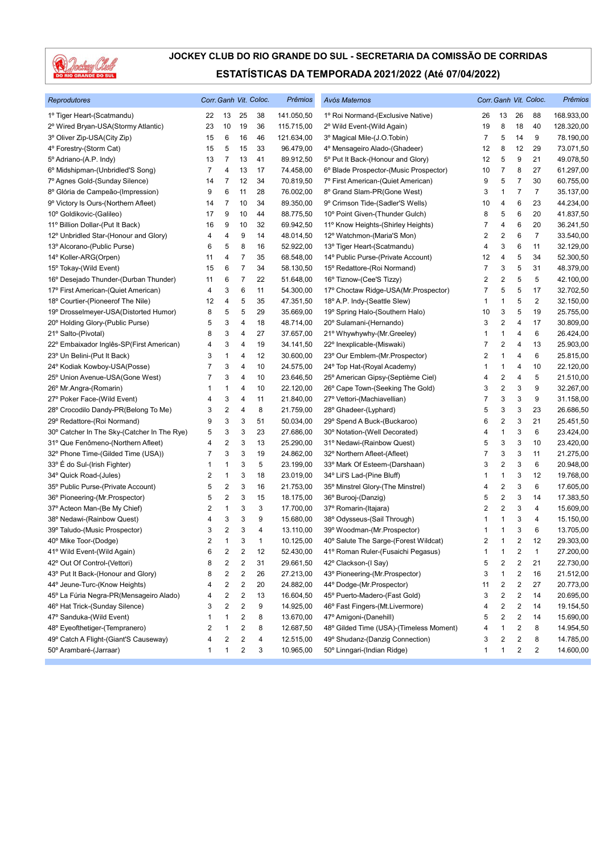

| Reprodutores                                |                |                         |                          | Corr. Ganh Vit. Coloc. | <b>Prêmios</b> | Avós Maternos                           |              |                         |                         | Corr. Ganh Vit. Coloc. | Prêmios    |
|---------------------------------------------|----------------|-------------------------|--------------------------|------------------------|----------------|-----------------------------------------|--------------|-------------------------|-------------------------|------------------------|------------|
| 1º Tiger Heart-(Scatmandu)                  | 22             | 13                      | 25                       | 38                     | 141.050,50     | 1º Roi Normand-(Exclusive Native)       | 26           | 13                      | 26                      | 88                     | 168.933,00 |
| 2º Wired Bryan-USA(Stormy Atlantic)         | 23             | 10                      | 19                       | 36                     | 115.715,00     | 2º Wild Event-(Wild Again)              | 19           | 8                       | 18                      | 40                     | 128.320,00 |
| 3º Oliver Zip-USA(City Zip)                 | 15             | 6                       | 16                       | 46                     | 121.634,00     | 3º Magical Mile-(J.O.Tobin)             | 7            | 5                       | 14                      | 9                      | 78.190,00  |
| 4° Forestry-(Storm Cat)                     | 15             | 5                       | 15                       | 33                     | 96.479,00      | 4º Mensageiro Alado-(Ghadeer)           | 12           | 8                       | 12                      | 29                     | 73.071,50  |
| 5º Adriano-(A.P. Indy)                      | 13             | 7                       | 13                       | 41                     | 89.912,50      | 5° Put It Back-(Honour and Glory)       | 12           | 5                       | 9                       | 21                     | 49.078,50  |
| 6º Midshipman-(Unbridled'S Song)            | $\overline{7}$ | 4                       | 13                       | 17                     | 74.458,00      | 6° Blade Prospector-(Music Prospector)  | 10           | 7                       | 8                       | 27                     | 61.297,00  |
| 7º Agnes Gold-(Sunday Silence)              | 14             | 7                       | 12                       | 34                     | 70.819,50      | 7º First American-(Quiet American)      | 9            | 5                       | 7                       | 30                     | 60.755,00  |
| 8º Glória de Campeão-(Impression)           | 9              | 6                       | 11                       | 28                     | 76.002,00      | 8º Grand Slam-PR(Gone West)             | 3            | $\mathbf{1}$            | 7                       | 7                      | 35.137,00  |
| 9º Victory Is Ours-(Northern Afleet)        | 14             | 7                       | 10                       | 34                     | 89.350,00      | 9º Crimson Tide-(Sadler'S Wells)        | 10           | 4                       | 6                       | 23                     | 44.234,00  |
| 10° Goldikovic-(Galileo)                    | 17             | 9                       | 10                       | 44                     | 88.775,50      | 10° Point Given-(Thunder Gulch)         | 8            | 5                       | 6                       | 20                     | 41.837,50  |
| 11º Billion Dollar-(Put It Back)            | 16             | 9                       | 10                       | 32                     | 69.942,50      | 11º Know Heights-(Shirley Heights)      | 7            | 4                       | 6                       | 20                     | 36.241,50  |
| 12º Unbridled Star-(Honour and Glory)       | 4              | 4                       | 9                        | 14                     | 48.014,50      | 12º Watchmon-(Maria'S Mon)              | 2            | $\overline{c}$          | 6                       | 7                      | 33.540,00  |
| 13º Alcorano-(Public Purse)                 | 6              | 5                       | 8                        | 16                     | 52.922,00      | 13º Tiger Heart-(Scatmandu)             | 4            | 3                       | 6                       | 11                     | 32.129,00  |
| 14° Koller-ARG(Orpen)                       | 11             | 4                       | 7                        | 35                     | 68.548,00      | 14º Public Purse-(Private Account)      | 12           | 4                       | 5                       | 34                     | 52.300,50  |
| 15° Tokay-(Wild Event)                      | 15             | 6                       | $\overline{\mathcal{I}}$ | 34                     | 58.130,50      | 15° Redattore-(Roi Normand)             | 7            | 3                       | 5                       | 31                     | 48.379,00  |
| 16° Desejado Thunder-(Durban Thunder)       | 11             | 6                       | 7                        | 22                     | 51.648,00      | 16° Tiznow-(Cee'S Tizzy)                | 2            | 2                       | 5                       | 5                      | 42.100,00  |
| 17º First American-(Quiet American)         | 4              | 3                       | 6                        | 11                     | 54.300,00      | 17º Choctaw Ridge-USA(Mr.Prospector)    | 7            | 5                       | 5                       | 17                     | 32.702,50  |
| 18° Courtier-(Pioneerof The Nile)           | 12             | 4                       | 5                        | 35                     | 47.351,50      | 18º A.P. Indy-(Seattle Slew)            | 1            | $\mathbf{1}$            | 5                       | $\overline{2}$         | 32.150,00  |
| 19º Drosselmeyer-USA(Distorted Humor)       | 8              | 5                       | 5                        | 29                     | 35.669,00      | 19° Spring Halo-(Southern Halo)         | 10           | 3                       | 5                       | 19                     | 25.755,00  |
| 20° Holding Glory-(Public Purse)            | 5              | 3                       | 4                        | 18                     | 48.714,00      | 20° Sulamani-(Hernando)                 | 3            | $\overline{c}$          | 4                       | 17                     | 30.809,00  |
| 21º Salto-(Pivotal)                         | 8              | 3                       | 4                        | 27                     | 37.657,00      | 21° Whywhywhy-(Mr.Greeley)              | 1            | $\mathbf{1}$            | 4                       | 6                      | 26.424,00  |
| 22° Embaixador Inglês-SP(First American)    | 4              | 3                       | 4                        | 19                     | 34.141,50      | 22° Inexplicable-(Miswaki)              | 7            | $\overline{c}$          | 4                       | 13                     | 25.903,00  |
| 23° Un Belini-(Put It Back)                 | 3              | 1                       | 4                        | 12                     | 30.600,00      | 23° Our Emblem-(Mr.Prospector)          | 2            | $\mathbf{1}$            | 4                       | 6                      | 25.815,00  |
| 24° Kodiak Kowboy-USA(Posse)                | 7              | 3                       | 4                        | 10                     | 24.575,00      | 24° Top Hat-(Royal Academy)             | 1            | $\mathbf{1}$            | 4                       | 10                     | 22.120,00  |
| 25° Union Avenue-USA(Gone West)             | 7              | 3                       | 4                        | 10                     | 23.646,50      | 25° American Gipsy-(Septième Ciel)      | 4            | $\overline{\mathbf{c}}$ | 4                       | 5                      | 21.510,00  |
| 26° Mr.Angra-(Romarin)                      | 1              | 1                       | 4                        | 10                     | 22.120,00      | 26° Cape Town-(Seeking The Gold)        | 3            | $\boldsymbol{2}$        | 3                       | 9                      | 32.267,00  |
| 27º Poker Face-(Wild Event)                 | 4              | 3                       | 4                        | 11                     | 21.840,00      | 27º Vettori-(Machiavellian)             | 7            | 3                       | 3                       | 9                      | 31.158,00  |
| 28° Crocodilo Dandy-PR(Belong To Me)        | 3              | 2                       | 4                        | 8                      | 21.759,00      | 28° Ghadeer-(Lyphard)                   | 5            | 3                       | 3                       | 23                     | 26.686,50  |
| 29° Redattore-(Roi Normand)                 | 9              | 3                       | 3                        | 51                     | 50.034,00      | 29° Spend A Buck-(Buckaroo)             | 6            | 2                       | 3                       | 21                     | 25.451,50  |
| 30° Catcher In The Sky-(Catcher In The Rye) | 5              | 3                       | 3                        | 23                     | 27.686,00      | 30° Notation-(Well Decorated)           | 4            | $\mathbf{1}$            | 3                       | 6                      | 23.424,00  |
| 31º Que Fenômeno-(Northern Afleet)          | 4              | $\overline{\mathbf{c}}$ | 3                        | 13                     | 25.290,00      | 31º Nedawi-(Rainbow Quest)              | 5            | 3                       | 3                       | 10                     | 23.420,00  |
| 32° Phone Time-(Gilded Time (USA))          | 7              | 3                       | 3                        | 19                     | 24.862,00      | 32° Northern Afleet-(Afleet)            | 7            | 3                       | 3                       | 11                     | 21.275,00  |
| 33° É do Sul-(Irish Fighter)                | 1              | 1                       | 3                        | 5                      | 23.199,00      | 33º Mark Of Esteem-(Darshaan)           | 3            | 2                       | 3                       | 6                      | 20.948,00  |
| 34° Quick Road-(Jules)                      | 2              | 1                       | 3                        | 18                     | 23.019,00      | 34° Lil'S Lad-(Pine Bluff)              | 1            | $\mathbf{1}$            | 3                       | 12                     | 19.768,00  |
| 35° Public Purse-(Private Account)          | 5              | 2                       | 3                        | 16                     | 21.753,00      | 35° Minstrel Glory-(The Minstrel)       | 4            | 2                       | 3                       | 6                      | 17.605,00  |
| 36° Pioneering-(Mr.Prospector)              | 5              | 2                       | 3                        | 15                     | 18.175,00      | 36° Burooj-(Danzig)                     | 5            | $\overline{c}$          | 3                       | 14                     | 17.383,50  |
| 37º Acteon Man-(Be My Chief)                | 2              | 1                       | 3                        | 3                      | 17.700,00      | 37º Romarin-(Itajara)                   | 2            | $\overline{c}$          | 3                       | 4                      | 15.609,00  |
| 38° Nedawi-(Rainbow Quest)                  | 4              | 3                       | 3                        | 9                      | 15.680,00      | 38° Odysseus-(Sail Through)             | 1            | 1                       | 3                       | 4                      | 15.150,00  |
| 39° Taludo-(Music Prospector)               | 3              | 2                       | 3                        | 4                      | 13.110,00      | 39° Woodman-(Mr.Prospector)             | 1            | $\mathbf{1}$            | 3                       | 6                      | 13.705,00  |
| 40° Mike Toor-(Dodge)                       | 2              | 1                       | 3                        | 1                      | 10.125,00      | 40° Salute The Sarge-(Forest Wildcat)   | 2            | $\mathbf{1}$            | 2                       | 12                     | 29.303,00  |
| 41º Wild Event-(Wild Again)                 | 6              | 2                       | 2                        | 12                     | 52.430,00      | 41º Roman Ruler-(Fusaichi Pegasus)      | 1            | $\mathbf{1}$            | $\overline{\mathbf{c}}$ | $\mathbf{1}$           | 27.200,00  |
| 42° Out Of Control-(Vettori)                | 8              | 2                       | $\sqrt{2}$               | 31                     | 29.661,50      | 42° Clackson-(I Say)                    | 5            | $\overline{\mathbf{c}}$ | $\sqrt{2}$              | 21                     | 22.730,00  |
| 43° Put It Back-(Honour and Glory)          | 8              | 2                       | $\overline{\mathbf{c}}$  | 26                     | 27.213,00      | 43° Pioneering-(Mr.Prospector)          | 3            | $\mathbf{1}$            | $\overline{\mathbf{c}}$ | 16                     | 21.512,00  |
| 44° Jeune-Turc-(Know Heights)               | 4              | 2                       | 2                        | 20                     | 24.882,00      | 44° Dodge-(Mr.Prospector)               | 11           | $\overline{\mathbf{c}}$ | 2                       | 27                     | 20.773,00  |
| 45° La Fúria Negra-PR(Mensageiro Alado)     | 4              | 2                       | 2                        | 13                     | 16.604,50      | 45° Puerto-Madero-(Fast Gold)           | 3            | 2                       | 2                       | 14                     | 20.695,00  |
| 46° Hat Trick-(Sunday Silence)              | 3              | 2                       | $\sqrt{2}$               | 9                      | 14.925,00      | 46° Fast Fingers-(Mt.Livermore)         | 4            | $\overline{\mathbf{c}}$ | $\overline{\mathbf{c}}$ | 14                     | 19.154,50  |
| 47° Sanduka-(Wild Event)                    | 1              | 1                       | $\overline{\mathbf{c}}$  | 8                      | 13.670,00      | 47º Amigoni-(Danehill)                  | 5            | $\overline{\mathbf{c}}$ | 2                       | 14                     | 15.690,00  |
| 48° Eyeofthetiger-(Tempranero)              | 2              | 1                       | 2                        | 8                      | 12.687,50      | 48° Gilded Time (USA)-(Timeless Moment) | 4            | 1                       | 2                       | 8                      | 14.954,50  |
| 49° Catch A Flight-(Giant'S Causeway)       | 4              | 2                       | 2                        | 4                      | 12.515,00      | 49° Shudanz-(Danzig Connection)         | 3            | 2                       | 2                       | 8                      | 14.785,00  |
| 50° Arambaré-(Jarraar)                      | 1              | 1                       | $\overline{\mathbf{c}}$  | 3                      | 10.965,00      | 50° Linngari-(Indian Ridge)             | $\mathbf{1}$ | 1                       | $\overline{\mathbf{c}}$ | 2                      | 14.600,00  |
|                                             |                |                         |                          |                        |                |                                         |              |                         |                         |                        |            |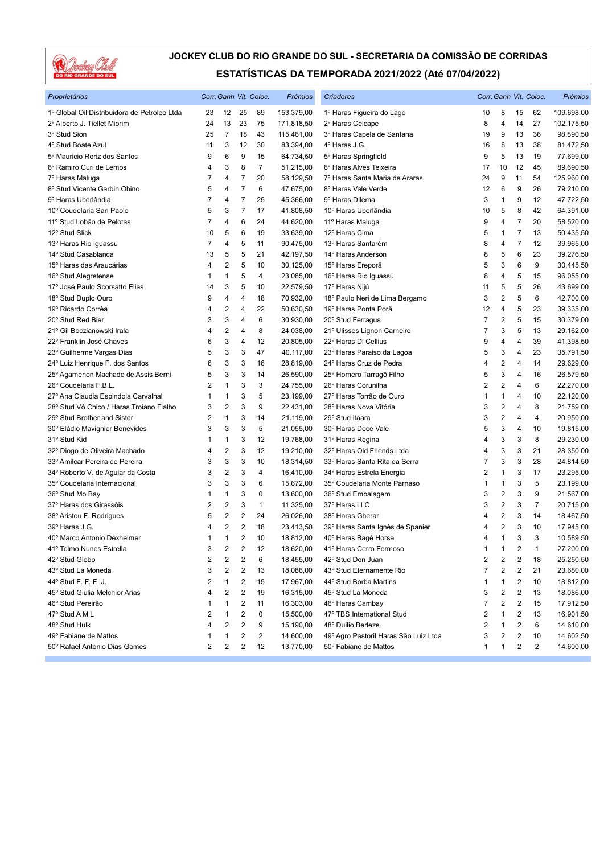

| Proprietários                                |                         |                         |                | Corr. Ganh Vit. Coloc. | Prêmios    | Criadores                             |                |                         |    | Corr. Ganh Vit. Coloc. | Prêmios    |
|----------------------------------------------|-------------------------|-------------------------|----------------|------------------------|------------|---------------------------------------|----------------|-------------------------|----|------------------------|------------|
| 1º Global Oil Distribuidora de Petróleo Ltda | 23                      | 12                      | 25             | 89                     | 153.379,00 | 1º Haras Figueira do Lago             | 10             | 8                       | 15 | 62                     | 109.698,00 |
| 2º Alberto J. Tiellet Miorim                 | 24                      | 13                      | 23             | 75                     | 171.818,50 | 2º Haras Celcape                      | 8              | $\overline{4}$          | 14 | 27                     | 102.175,50 |
| 3º Stud Sion                                 | 25                      | $\overline{7}$          | 18             | 43                     | 115.461,00 | 3º Haras Capela de Santana            | 19             | 9                       | 13 | 36                     | 98.890,50  |
| 4° Stud Boate Azul                           | 11                      | 3                       | 12             | 30                     | 83.394,00  | 4º Haras J.G.                         | 16             | 8                       | 13 | 38                     | 81.472,50  |
| 5º Mauricio Roriz dos Santos                 | 9                       | 6                       | 9              | 15                     | 64.734,50  | 5° Haras Springfield                  | 9              | 5                       | 13 | 19                     | 77.699,00  |
| 6º Ramiro Curi de Lemos                      | 4                       | 3                       | 8              | $\overline{7}$         | 51.215,00  | 6° Haras Alves Teixeira               | 17             | 10                      | 12 | 45                     | 89.690,50  |
| 7º Haras Maluga                              | 7                       | 4                       | 7              | 20                     | 58.129,50  | 7º Haras Santa Maria de Araras        | 24             | 9                       | 11 | 54                     | 125.960,00 |
| 8º Stud Vicente Garbin Obino                 | 5                       | 4                       | $\overline{7}$ | 6                      | 47.675,00  | 8º Haras Vale Verde                   | 12             | 6                       | 9  | 26                     | 79.210,00  |
| 9º Haras Uberlândia                          | 7                       | 4                       | 7              | 25                     | 45.366,00  | 9º Haras Dilema                       | 3              | 1                       | 9  | 12                     | 47.722,50  |
| 10° Coudelaria San Paolo                     | 5                       | 3                       | $\overline{7}$ | 17                     | 41.808,50  | 10º Haras Uberlândia                  | 10             | 5                       | 8  | 42                     | 64.391,00  |
| 11º Stud Lobão de Pelotas                    | $\overline{7}$          | 4                       | 6              | 24                     | 44.620,00  | 11º Haras Maluga                      | 9              | 4                       | 7  | 20                     | 58.520,00  |
| 12º Stud Slick                               | 10                      | 5                       | 6              | 19                     | 33.639,00  | 12º Haras Cima                        | 5              | 1                       | 7  | 13                     | 50.435,50  |
| 13º Haras Rio Iguassu                        | 7                       | 4                       | 5              | 11                     | 90.475,00  | 13º Haras Santarém                    | 8              | 4                       | 7  | 12                     | 39.965,00  |
| 14º Stud Casablanca                          | 13                      | 5                       | 5              | 21                     | 42.197,50  | 14° Haras Anderson                    | 8              | 5                       | 6  | 23                     | 39.276,50  |
| 15° Haras das Araucárias                     | 4                       | $\overline{2}$          | 5              | 10                     | 30.125,00  | 15° Haras Ereporã                     | 5              | 3                       | 6  | 9                      | 30.445,50  |
| 16° Stud Alegretense                         | 1                       | 1                       | 5              | $\overline{4}$         | 23.085,00  | 16° Haras Rio Iguassu                 | 8              | $\overline{4}$          | 5  | 15                     | 96.055,00  |
| 17º José Paulo Scorsatto Elias               | 14                      | 3                       | 5              | 10                     | 22.579,50  | 17º Haras Nijú                        | 11             | 5                       | 5  | 26                     | 43.699,00  |
| 18° Stud Duplo Ouro                          | 9                       | 4                       | 4              | 18                     | 70.932,00  | 18º Paulo Neri de Lima Bergamo        | 3              | $\overline{\mathbf{c}}$ | 5  | 6                      | 42.700,00  |
| 19º Ricardo Corrêa                           | 4                       | $\overline{2}$          | 4              | 22                     | 50.630,50  | 19º Haras Ponta Porã                  | 12             | 4                       | 5  | 23                     | 39.335,00  |
| 20° Stud Red Bier                            | 3                       | 3                       | 4              | 6                      | 30.930,00  | 20° Stud Ferragus                     | 7              | $\overline{2}$          | 5  | 15                     | 30.379,00  |
| 21º Gil Boczianowski Irala                   | 4                       | $\overline{\mathbf{c}}$ | 4              | 8                      | 24.038,00  | 21º Ulisses Lignon Carneiro           | 7              | 3                       | 5  | 13                     | 29.162,00  |
| 22º Franklin José Chaves                     | 6                       | 3                       | 4              | 12                     | 20.805,00  | 22° Haras Di Cellius                  | 9              | 4                       | 4  | 39                     | 41.398,50  |
| 23° Guilherme Vargas Dias                    | 5                       | 3                       | 3              | 47                     | 40.117,00  | 23º Haras Paraiso da Lagoa            | 5              | 3                       | 4  | 23                     | 35.791,50  |
| 24° Luiz Henrique F. dos Santos              | 6                       | 3                       | 3              | 16                     | 28.819,00  | 24° Haras Cruz de Pedra               | 4              | $\overline{2}$          | 4  | 14                     | 29.629,00  |
| 25º Agamenon Machado de Assis Berni          | 5                       | 3                       | 3              | 14                     | 26.590,00  | 25° Homero Tarragô Filho              | 5              | 3                       | 4  | 16                     | 26.579,50  |
| 26° Coudelaria F.B.L.                        | 2                       | 1                       | 3              | 3                      | 24.755,00  | 26° Haras Corunilha                   | $\overline{2}$ | $\overline{2}$          | 4  | 6                      | 22.270,00  |
| 27º Ana Claudia Espindola Carvalhal          | 1                       | 1                       | 3              | 5                      | 23.199,00  | 27º Haras Torrão de Ouro              | 1              | $\mathbf{1}$            | 4  | 10                     | 22.120,00  |
| 28° Stud Vô Chico / Haras Troiano Fialho     | 3                       | $\overline{\mathbf{c}}$ | 3              | 9                      | 22.431,00  | 28º Haras Nova Vitória                | 3              | $\sqrt{2}$              | 4  | 8                      | 21.759,00  |
| 29° Stud Brother and Sister                  | 2                       | 1                       | 3              | 14                     | 21.119,00  | 29° Stud Itaara                       | 3              | $\sqrt{2}$              | 4  | 4                      | 20.950,00  |
| 30° Eládio Mavignier Benevides               | 3                       | 3                       | 3              | 5                      | 21.055,00  | 30° Haras Doce Vale                   | 5              | 3                       | 4  | 10                     | 19.815,00  |
| 31º Stud Kid                                 | 1                       | 1                       | 3              | 12                     | 19.768,00  | 31º Haras Regina                      | 4              | 3                       | 3  | 8                      | 29.230,00  |
| 32º Diogo de Oliveira Machado                | 4                       | $\overline{2}$          | 3              | 12                     | 19.210,00  | 32° Haras Old Friends Ltda            | 4              | 3                       | 3  | 21                     | 28.350,00  |
| 33º Amilcar Pereira de Pereira               | 3                       | 3                       | 3              | 10                     | 18.314,50  | 33º Haras Santa Rita da Serra         | 7              | 3                       | 3  | 28                     | 24.814,50  |
| 34º Roberto V. de Aguiar da Costa            | 3                       | $\overline{2}$          | 3              | 4                      | 16.410,00  | 34° Haras Estrela Energia             | 2              | $\mathbf{1}$            | 3  | 17                     | 23.295,00  |
| 35° Coudelaria Internacional                 | 3                       | 3                       | 3              | 6                      | 15.672,00  | 35° Coudelaria Monte Parnaso          | 1              | 1                       | 3  | 5                      | 23.199,00  |
| 36° Stud Mo Bay                              | 1                       | 1                       | 3              | 0                      | 13.600,00  | 36° Stud Embalagem                    | 3              | $\overline{2}$          | 3  | 9                      | 21.567,00  |
| 37º Haras dos Girassóis                      | 2                       | $\overline{2}$          | 3              | $\mathbf{1}$           | 11.325,00  | 37º Haras LLC                         | 3              | $\overline{\mathbf{c}}$ | 3  | $\overline{7}$         | 20.715,00  |
| 38° Aristeu F. Rodrigues                     | 5                       | $\overline{2}$          | 2              | 24                     | 26.026,00  | 38° Haras Gherar                      | 4              | $\overline{2}$          | 3  | 14                     | 18.467,50  |
| 39° Haras J.G.                               | 4                       | 2                       | 2              | 18                     | 23.413,50  | 39º Haras Santa Ignês de Spanier      | 4              | $\overline{2}$          | 3  | 10                     | 17.945,00  |
| 40° Marco Antonio Dexheimer                  | 1                       | 1                       | $\overline{2}$ | 10                     | 18.812,00  | 40° Haras Bagé Horse                  | 4              | $\mathbf{1}$            | 3  | 3                      | 10.589,50  |
| 41º Telmo Nunes Estrella                     | 3                       | $\overline{c}$          | $\overline{c}$ | 12                     | 18.620,00  | 41º Haras Cerro Formoso               | 1              | $\mathbf{1}$            | 2  | $\mathbf{1}$           | 27.200,00  |
| 42° Stud Globo                               | $\overline{\mathbf{c}}$ | 2                       | 2              | 6                      | 18.455,00  | 42° Stud Don Juan                     | 2              | $\overline{\mathbf{c}}$ | 2  | 18                     | 25.250,50  |
| 43° Stud La Moneda                           | 3                       | 2                       | 2              | 13                     | 18.086,00  | 43° Stud Eternamente Rio              | 7              | 2                       | 2  | 21                     | 23.680,00  |
| 44° Stud F. F. F. J.                         | 2                       | 1                       | 2              | 15                     | 17.967,00  | 44° Stud Borba Martins                | 1              | 1                       | 2  | 10                     | 18.812,00  |
| 45° Stud Giulia Melchior Arias               | 4                       | 2                       | 2              | 19                     | 16.315,00  | 45° Stud La Moneda                    | 3              | $\overline{\mathbf{c}}$ | 2  | 13                     | 18.086,00  |
| 46° Stud Pereirão                            | 1                       | 1                       | 2              | 11                     | 16.303,00  | 46° Haras Cambay                      | 7              | $\overline{\mathbf{c}}$ | 2  | 15                     | 17.912,50  |
| 47° Stud A M L                               | 2                       | 1                       | 2              | 0                      | 15.500,00  | 47º TBS International Stud            | 2              | 1                       | 2  | 13                     | 16.901,50  |
| 48° Stud Hulk                                | 4                       | 2                       | 2              | 9                      | 15.190,00  | 48° Duilio Berleze                    | 2              | 1                       | 2  | 6                      | 14.610,00  |
| 49º Fabiane de Mattos                        | 1                       | 1                       | 2              | $\overline{c}$         | 14.600,00  | 49º Agro Pastoril Haras São Luiz Ltda | 3              | 2                       | 2  | 10                     | 14.602,50  |
| 50° Rafael Antonio Dias Gomes                | 2                       | 2                       | 2              | 12                     | 13.770,00  | 50° Fabiane de Mattos                 | 1              | 1                       | 2  | 2                      | 14.600,00  |
|                                              |                         |                         |                |                        |            |                                       |                |                         |    |                        |            |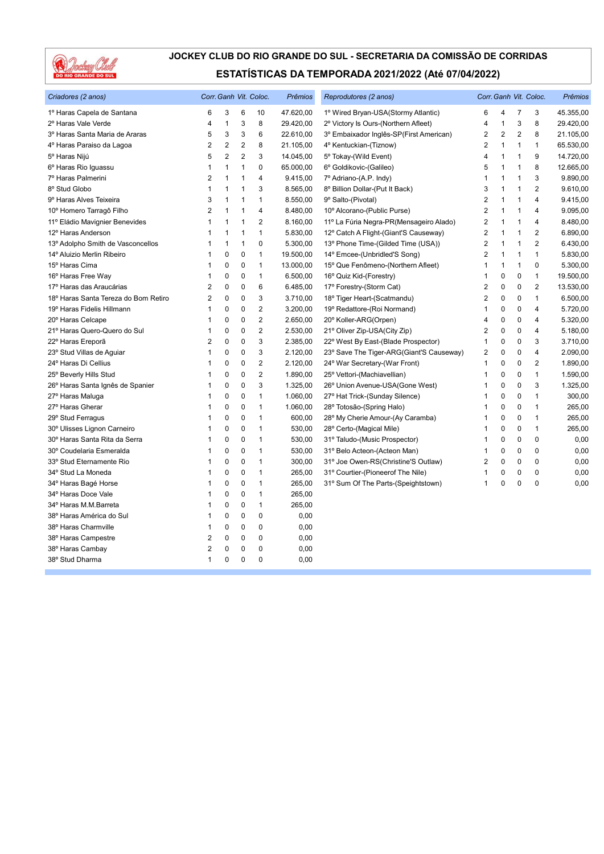

| Criadores (2 anos)                   | Corr. Ganh Vit. Coloc. |                |                |                         | <b>Prêmios</b> | Reprodutores (2 anos)                    |                | Corr. Ganh Vit. Coloc. |              |                | Prêmios   |
|--------------------------------------|------------------------|----------------|----------------|-------------------------|----------------|------------------------------------------|----------------|------------------------|--------------|----------------|-----------|
| 1º Haras Capela de Santana           | 6                      | 3              | 6              | 10                      | 47.620,00      | 1º Wired Bryan-USA(Stormy Atlantic)      | 6              | 4                      | 7            | 3              | 45.355,00 |
| 2º Haras Vale Verde                  | 4                      | $\mathbf{1}$   | 3              | 8                       | 29.420,00      | 2º Victory Is Ours-(Northern Afleet)     | 4              | $\mathbf{1}$           | 3            | 8              | 29.420,00 |
| 3º Haras Santa Maria de Araras       | 5                      | 3              | 3              | 6                       | 22.610,00      | 3º Embaixador Inglês-SP(First American)  | 2              | $\overline{2}$         | 2            | 8              | 21.105,00 |
| 4º Haras Paraiso da Lagoa            | $\overline{2}$         | $\overline{2}$ | $\overline{2}$ | 8                       | 21.105,00      | 4º Kentuckian-(Tiznow)                   | $\overline{2}$ | $\mathbf{1}$           | $\mathbf{1}$ | $\mathbf{1}$   | 65.530,00 |
| 5º Haras Nijú                        | 5                      | $\overline{2}$ | $\overline{2}$ | 3                       | 14.045,00      | 5° Tokay-(Wild Event)                    | $\overline{4}$ | $\mathbf{1}$           | 1            | 9              | 14.720,00 |
| 6° Haras Rio Iguassu                 | 1                      | $\mathbf{1}$   | 1              | 0                       | 65.000,00      | 6° Goldikovic-(Galileo)                  | 5              | 1                      | 1            | 8              | 12.665,00 |
| 7º Haras Palmerini                   | 2                      | $\mathbf{1}$   | 1              | 4                       | 9.415,00       | 7º Adriano-(A.P. Indy)                   | $\mathbf{1}$   | $\mathbf{1}$           | 1            | 3              | 9.890,00  |
| 8° Stud Globo                        | 1                      | $\mathbf{1}$   | 1              | 3                       | 8.565,00       | 8º Billion Dollar-(Put It Back)          | 3              | 1                      | 1            | $\overline{2}$ | 9.610,00  |
| 9° Haras Alves Teixeira              | 3                      | $\mathbf{1}$   | 1              | 1                       | 8.550,00       | 9º Salto-(Pivotal)                       | $\overline{2}$ | 1                      | 1            | $\overline{4}$ | 9.415,00  |
| 10° Homero Tarragô Filho             | 2                      | $\mathbf{1}$   | $\mathbf{1}$   | 4                       | 8.480,00       | 10º Alcorano-(Public Purse)              | $\overline{2}$ | $\mathbf{1}$           | 1            | $\overline{4}$ | 9.095,00  |
| 11º Eládio Mavignier Benevides       | 1                      | $\mathbf{1}$   | 1              | $\overline{2}$          | 8.160,00       | 11º La Fúria Negra-PR(Mensageiro Alado)  | $\overline{2}$ | 1                      | 1            | $\overline{4}$ | 8.480,00  |
| 12º Haras Anderson                   | 1                      | $\mathbf{1}$   | 1              | 1                       | 5.830,00       | 12° Catch A Flight-(Giant'S Causeway)    | $\overline{2}$ | 1                      | $\mathbf{1}$ | $\overline{2}$ | 6.890,00  |
| 13º Adolpho Smith de Vasconcellos    | 1                      | $\mathbf{1}$   | 1              | 0                       | 5.300,00       | 13º Phone Time-(Gilded Time (USA))       | 2              | $\mathbf{1}$           | 1            | $\overline{2}$ | 6.430,00  |
| 14º Aluizio Merlin Ribeiro           | 1                      | $\mathbf 0$    | $\mathbf 0$    | $\mathbf{1}$            | 19.500,00      | 14° Emcee-(Unbridled'S Song)             | 2              | $\mathbf{1}$           | 1            | $\mathbf{1}$   | 5.830,00  |
| 15° Haras Cima                       | 1                      | 0              | 0              | $\mathbf{1}$            | 13.000,00      | 15° Que Fenômeno-(Northern Afleet)       | 1              | 1                      | $\mathbf{1}$ | $\mathbf 0$    | 5.300,00  |
| 16° Haras Free Way                   | 1                      | $\mathbf 0$    | $\mathbf 0$    | $\mathbf{1}$            | 6.500,00       | 16° Quiz Kid-(Forestry)                  | 1              | $\mathbf 0$            | 0            | $\mathbf{1}$   | 19.500,00 |
| 17º Haras das Araucárias             | 2                      | $\mathbf 0$    | $\mathbf 0$    | 6                       | 6.485,00       | 17º Forestry-(Storm Cat)                 | $\overline{2}$ | 0                      | $\mathbf 0$  | $\overline{2}$ | 13.530,00 |
| 18º Haras Santa Tereza do Bom Retiro | $\overline{2}$         | 0              | $\pmb{0}$      | 3                       | 3.710,00       | 18º Tiger Heart-(Scatmandu)              | 2              | 0                      | 0            | $\mathbf{1}$   | 6.500,00  |
| 19º Haras Fidelis Hillmann           | 1                      | $\mathbf 0$    | $\mathbf 0$    | $\overline{\mathbf{c}}$ | 3.200,00       | 19º Redattore-(Roi Normand)              | 1              | 0                      | 0            | $\overline{4}$ | 5.720,00  |
| 20° Haras Celcape                    | 1                      | $\mathbf 0$    | $\mathbf 0$    | $\overline{2}$          | 2.650,00       | 20° Koller-ARG(Orpen)                    | 4              | 0                      | 0            | $\overline{4}$ | 5.320,00  |
| 21º Haras Quero-Quero do Sul         | 1                      | $\mathbf 0$    | $\pmb{0}$      | $\overline{2}$          | 2.530,00       | 21° Oliver Zip-USA(City Zip)             | 2              | 0                      | 0            | $\overline{4}$ | 5.180,00  |
| 22º Haras Ereporã                    | 2                      | $\mathbf 0$    | $\pmb{0}$      | 3                       | 2.385,00       | 22° West By East-(Blade Prospector)      | 1              | $\Omega$               | $\Omega$     | 3              | 3.710,00  |
| 23° Stud Villas de Aguiar            | 1                      | $\mathbf 0$    | $\mathbf 0$    | 3                       | 2.120,00       | 23° Save The Tiger-ARG(Giant'S Causeway) | 2              | 0                      | 0            | $\overline{4}$ | 2.090,00  |
| 24° Haras Di Cellius                 | 1                      | $\mathbf 0$    | $\mathbf 0$    | $\overline{2}$          | 2.120,00       | 24° War Secretary-(War Front)            | 1              | 0                      | 0            | $\overline{2}$ | 1.890,00  |
| 25° Beverly Hills Stud               | 1                      | $\mathbf 0$    | $\pmb{0}$      | $\overline{2}$          | 1.890,00       | 25° Vettori-(Machiavellian)              | 1              | 0                      | 0            | $\mathbf{1}$   | 1.590,00  |
| 26° Haras Santa Ignês de Spanier     | 1                      | $\mathbf 0$    | $\mathbf 0$    | 3                       | 1.325,00       | 26° Union Avenue-USA(Gone West)          | 1              | 0                      | 0            | 3              | 1.325,00  |
| 27° Haras Maluga                     | 1                      | $\mathbf 0$    | $\mathbf 0$    | $\mathbf{1}$            | 1.060,00       | 27º Hat Trick-(Sunday Silence)           | 1              | 0                      | 0            | $\mathbf{1}$   | 300,00    |
| 27° Haras Gherar                     | 1                      | $\mathbf 0$    | $\pmb{0}$      | $\mathbf{1}$            | 1.060,00       | 28° Totosão-(Spring Halo)                | 1              | 0                      | 0            | $\mathbf{1}$   | 265,00    |
| 29° Stud Ferragus                    | 1                      | $\mathbf 0$    | $\mathbf 0$    | 1                       | 600,00         | 28° My Cherie Amour-(Ay Caramba)         | 1              | 0                      | 0            | $\mathbf{1}$   | 265,00    |
| 30° Ulisses Lignon Carneiro          | 1                      | $\mathbf 0$    | $\mathbf 0$    | $\mathbf{1}$            | 530,00         | 28° Certo-(Magical Mile)                 | 1              | 0                      | 0            | $\mathbf{1}$   | 265,00    |
| 30° Haras Santa Rita da Serra        | 1                      | $\mathbf 0$    | $\pmb{0}$      | $\mathbf{1}$            | 530,00         | 31º Taludo-(Music Prospector)            | 1              | 0                      | 0            | 0              | 0,00      |
| 30° Coudelaria Esmeralda             | 1                      | $\mathbf 0$    | $\mathbf 0$    | 1                       | 530,00         | 31º Belo Acteon-(Acteon Man)             | 1              | $\mathbf 0$            | 0            | $\mathbf{0}$   | 0,00      |
| 33° Stud Eternamente Rio             | 1                      | $\mathbf 0$    | $\mathbf 0$    | $\mathbf{1}$            | 300,00         | 31º Joe Owen-RS(Christine'S Outlaw)      | 2              | 0                      | 0            | 0              | 0,00      |
| 34° Stud La Moneda                   | 1                      | $\mathbf 0$    | $\pmb{0}$      | 1                       | 265,00         | 31º Courtier-(Pioneerof The Nile)        | 1              | 0                      | 0            | 0              | 0,00      |
| 34° Haras Bagé Horse                 | 1                      | $\mathbf 0$    | $\mathbf 0$    | 1                       | 265,00         | 31° Sum Of The Parts-(Speightstown)      | 1              | 0                      | $\Omega$     | $\Omega$       | 0,00      |
| 34° Haras Doce Vale                  | 1                      | $\mathbf 0$    | $\mathbf 0$    | $\mathbf{1}$            | 265,00         |                                          |                |                        |              |                |           |
| 34º Haras M.M.Barreta                | 1                      | $\mathbf 0$    | $\pmb{0}$      | 1                       | 265,00         |                                          |                |                        |              |                |           |
| 38º Haras América do Sul             | 1                      | $\mathbf 0$    | $\mathbf 0$    | 0                       | 0,00           |                                          |                |                        |              |                |           |
| 38º Haras Charmville                 | 1                      | $\mathbf 0$    | $\mathbf 0$    | $\mathbf 0$             | 0,00           |                                          |                |                        |              |                |           |
| 38º Haras Campestre                  | $\overline{2}$         | $\mathbf 0$    | $\mathbf 0$    | $\mathbf 0$             | 0,00           |                                          |                |                        |              |                |           |
| 38º Haras Cambay                     | 2                      | 0              | $\mathbf 0$    | 0                       | 0,00           |                                          |                |                        |              |                |           |
| 38° Stud Dharma                      | $\mathbf{1}$           | $\mathbf 0$    | $\mathbf 0$    | $\mathbf 0$             | 0,00           |                                          |                |                        |              |                |           |